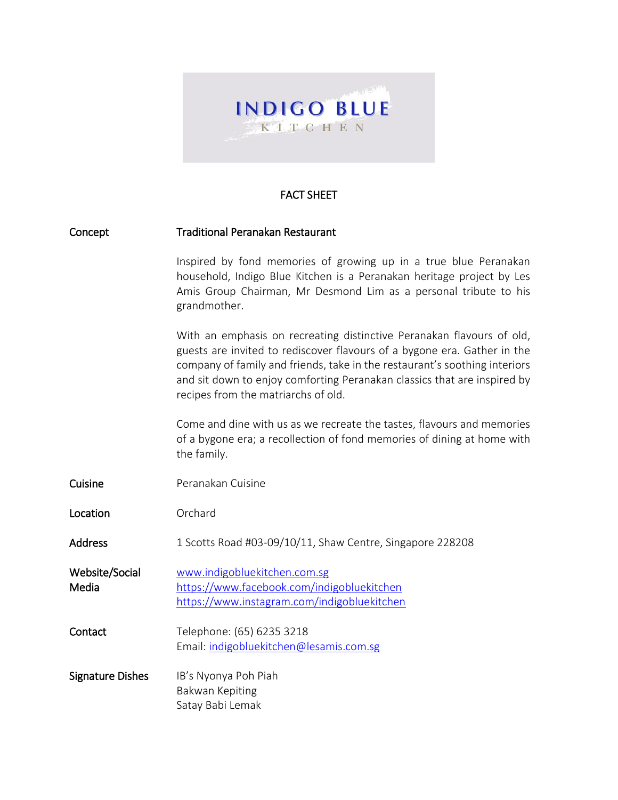

## FACT SHEET

| Concept                 | <b>Traditional Peranakan Restaurant</b>                                                                                                                                                                                                                                                                                                            |
|-------------------------|----------------------------------------------------------------------------------------------------------------------------------------------------------------------------------------------------------------------------------------------------------------------------------------------------------------------------------------------------|
|                         | Inspired by fond memories of growing up in a true blue Peranakan<br>household, Indigo Blue Kitchen is a Peranakan heritage project by Les<br>Amis Group Chairman, Mr Desmond Lim as a personal tribute to his<br>grandmother.                                                                                                                      |
|                         | With an emphasis on recreating distinctive Peranakan flavours of old,<br>guests are invited to rediscover flavours of a bygone era. Gather in the<br>company of family and friends, take in the restaurant's soothing interiors<br>and sit down to enjoy comforting Peranakan classics that are inspired by<br>recipes from the matriarchs of old. |
|                         | Come and dine with us as we recreate the tastes, flavours and memories<br>of a bygone era; a recollection of fond memories of dining at home with<br>the family.                                                                                                                                                                                   |
| Cuisine                 | Peranakan Cuisine                                                                                                                                                                                                                                                                                                                                  |
| Location                | Orchard                                                                                                                                                                                                                                                                                                                                            |
| <b>Address</b>          | 1 Scotts Road #03-09/10/11, Shaw Centre, Singapore 228208                                                                                                                                                                                                                                                                                          |
| Website/Social<br>Media | www.indigobluekitchen.com.sg<br>https://www.facebook.com/indigobluekitchen<br>https://www.instagram.com/indigobluekitchen                                                                                                                                                                                                                          |
| Contact                 | Telephone: (65) 6235 3218<br>Email: indigobluekitchen@lesamis.com.sg                                                                                                                                                                                                                                                                               |
| <b>Signature Dishes</b> | IB's Nyonya Poh Piah<br>Bakwan Kepiting<br>Satay Babi Lemak                                                                                                                                                                                                                                                                                        |